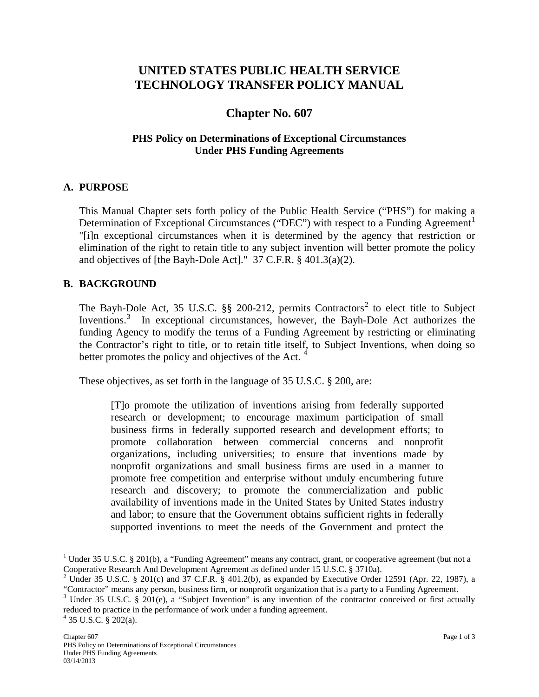# **UNITED STATES PUBLIC HEALTH SERVICE TECHNOLOGY TRANSFER POLICY MANUAL**

# **Chapter No. 607**

### **PHS Policy on Determinations of Exceptional Circumstances Under PHS Funding Agreements**

#### **A. PURPOSE**

This Manual Chapter sets forth policy of the Public Health Service ("PHS") for making a Determination of Exceptional Circumstances ("DEC") with respect to a Funding Agreement<sup>[1](#page-0-0)</sup> "[i]n exceptional circumstances when it is determined by the agency that restriction or elimination of the right to retain title to any subject invention will better promote the policy and objectives of [the Bayh-Dole Act]." 37 C.F.R. § 401.3(a)(2).

#### **B. BACKGROUND**

The Bayh-Dole Act, 35 U.S.C.  $\S$  [2](#page-0-1)00-212, permits Contractors<sup>2</sup> to elect title to Subject Inventions.<sup>[3](#page-0-2)</sup> In exceptional circumstances, however, the Bayh-Dole Act authorizes the funding Agency to modify the terms of a Funding Agreement by restricting or eliminating the Contractor's right to title, or to retain title itself, to Subject Inventions, when doing so better promotes the policy and objectives of the Act.  $4$ 

These objectives, as set forth in the language of 35 U.S.C. § 200, are:

[T]o promote the utilization of inventions arising from federally supported research or development; to encourage maximum participation of small business firms in federally supported research and development efforts; to promote collaboration between commercial concerns and nonprofit organizations, including universities; to ensure that inventions made by nonprofit organizations and small business firms are used in a manner to promote free competition and enterprise without unduly encumbering future research and discovery; to promote the commercialization and public availability of inventions made in the United States by United States industry and labor; to ensure that the Government obtains sufficient rights in federally supported inventions to meet the needs of the Government and protect the

<span id="page-0-0"></span><sup>&</sup>lt;sup>1</sup> Under 35 U.S.C. § 201(b), a "Funding Agreement" means any contract, grant, or cooperative agreement (but not a Cooperative Research And Development Agreement as defined under 15 U.S.C. § 3710a).

<span id="page-0-1"></span><sup>&</sup>lt;sup>2</sup> Under 35 U.S.C. § 201(c) and 37 C.F.R. § 401.2(b), as expanded by Executive Order 12591 (Apr. 22, 1987), a "Contractor" means any person, business firm, or nonprofit organization that is a party to a Funding Agreement

<span id="page-0-3"></span><span id="page-0-2"></span><sup>&</sup>lt;sup>3</sup> Under 35 U.S.C. § 201(e), a "Subject Invention" is any invention of the contractor conceived or first actually reduced to practice in the performance of work under a funding agreement. <sup>4</sup> 35 U.S.C. § 202(a).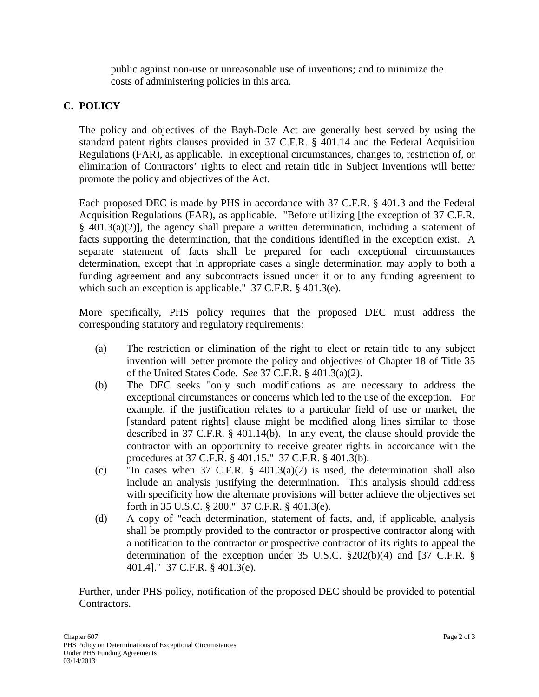public against non-use or unreasonable use of inventions; and to minimize the costs of administering policies in this area.

### **C. POLICY**

The policy and objectives of the Bayh-Dole Act are generally best served by using the standard patent rights clauses provided in 37 C.F.R. § 401.14 and the Federal Acquisition Regulations (FAR), as applicable. In exceptional circumstances, changes to, restriction of, or elimination of Contractors' rights to elect and retain title in Subject Inventions will better promote the policy and objectives of the Act.

Each proposed DEC is made by PHS in accordance with 37 C.F.R. § 401.3 and the Federal Acquisition Regulations (FAR), as applicable. "Before utilizing [the exception of 37 C.F.R. § 401.3(a)(2)], the agency shall prepare a written determination, including a statement of facts supporting the determination, that the conditions identified in the exception exist. A separate statement of facts shall be prepared for each exceptional circumstances determination, except that in appropriate cases a single determination may apply to both a funding agreement and any subcontracts issued under it or to any funding agreement to which such an exception is applicable." 37 C.F.R. § 401.3(e).

More specifically, PHS policy requires that the proposed DEC must address the corresponding statutory and regulatory requirements:

- (a) The restriction or elimination of the right to elect or retain title to any subject invention will better promote the policy and objectives of Chapter 18 of Title 35 of the United States Code. *See* 37 C.F.R. § 401.3(a)(2).
- (b) The DEC seeks "only such modifications as are necessary to address the exceptional circumstances or concerns which led to the use of the exception. For example, if the justification relates to a particular field of use or market, the [standard patent rights] clause might be modified along lines similar to those described in 37 C.F.R. § 401.14(b). In any event, the clause should provide the contractor with an opportunity to receive greater rights in accordance with the procedures at 37 C.F.R. § 401.15." 37 C.F.R. § 401.3(b).
- (c) "In cases when 37 C.F.R.  $\S$  401.3(a)(2) is used, the determination shall also include an analysis justifying the determination. This analysis should address with specificity how the alternate provisions will better achieve the objectives set forth in 35 U.S.C. § 200." 37 C.F.R. § 401.3(e).
- (d) A copy of "each determination, statement of facts, and, if applicable, analysis shall be promptly provided to the contractor or prospective contractor along with a notification to the contractor or prospective contractor of its rights to appeal the determination of the exception under 35 U.S.C. §202(b)(4) and [37 C.F.R. § 401.4]." 37 C.F.R. § 401.3(e).

Further, under PHS policy, notification of the proposed DEC should be provided to potential Contractors.